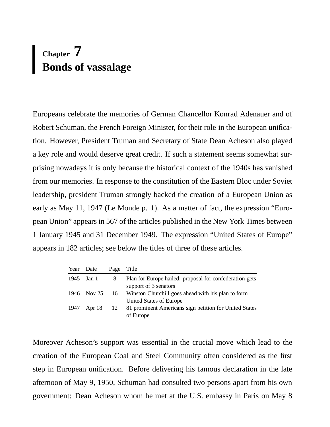# **Chapter 7 Bonds of vassalage**

Europeans celebrate the memories of German Chancellor Konrad Adenauer and of Robert Schuman, the French Foreign Minister, for their role in the European unification. However, President Truman and Secretary of State Dean Acheson also played a key role and would deserve great credit. If such a statement seems somewhat surprising nowadays it is only because the historical context of the 1940s has vanished from our memories. In response to the constitution of the Eastern Bloc under Soviet leadership, president Truman strongly backed the creation of a European Union as early as May 11, 1947 (Le Monde p. 1). As a matter of fact, the expression "European Union" appears in 567 of the articles published in the New York Times between 1 January 1945 and 31 December 1949. The expression "United States of Europe" appears in 182 articles; see below the titles of three of these articles.

| Year Date   | Page Title    |                                                                                  |
|-------------|---------------|----------------------------------------------------------------------------------|
| 1945 Jan 1  | 8             | Plan for Europe hailed: proposal for confederation gets<br>support of 3 senators |
| 1946 Nov 25 |               | 16 Winston Churchill goes ahead with his plan to form<br>United States of Europe |
| 1947 Apr 18 | <sup>12</sup> | 81 prominent Americans sign petition for United States<br>of Europe              |

Moreover Acheson's support was essential in the crucial move which lead to the creation of the European Coal and Steel Community often considered as the first step in European unification. Before delivering his famous declaration in the late afternoon of May 9, 1950, Schuman had consulted two persons apart from his own government: Dean Acheson whom he met at the U.S. embassy in Paris on May 8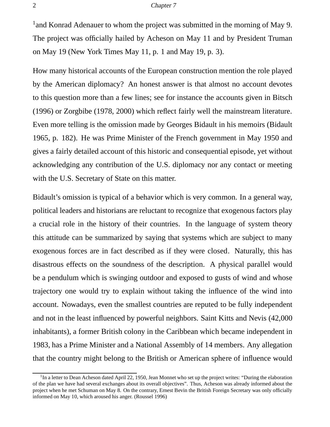<sup>1</sup> and Konrad Adenauer to whom the project was submitted in the morning of May 9. The project was officially hailed by Acheson on May 11 and by President Truman on May 19 (New York Times May 11, p. 1 and May 19, p. 3).

How many historical accounts of the European construction mention the role played by the American diplomacy? An honest answer is that almost no account devotes to this question more than a few lines; see for instance the accounts given in Bitsch (1996) or Zorgbibe (1978, 2000) which reflect fairly well the mainstream literature. Even more telling is the omission made by Georges Bidault in his memoirs (Bidault 1965, p. 182). He was Prime Minister of the French government in May 1950 and gives a fairly detailed account of this historic and consequential episode, yet without acknowledging any contribution of the U.S. diplomacy nor any contact or meeting with the U.S. Secretary of State on this matter.

Bidault's omission is typical of a behavior which is very common. In a general way, political leaders and historians are reluctant to recognize that exogenous factors play a crucial role in the history of their countries. In the language of system theory this attitude can be summarized by saying that systems which are subject to many exogenous forces are in fact described as if they were closed. Naturally, this has disastrous effects on the soundness of the description. A physical parallel would be a pendulum which is swinging outdoor and exposed to gusts of wind and whose trajectory one would try to explain without taking the influence of the wind into account. Nowadays, even the smallest countries are reputed to be fully independent and not in the least influenced by powerful neighbors. Saint Kitts and Nevis (42,000 inhabitants), a former British colony in the Caribbean which became independent in 1983, has a Prime Minister and a National Assembly of 14 members. Any allegation that the country might belong to the British or American sphere of influence would

<sup>&</sup>lt;sup>1</sup>In a letter to Dean Acheson dated April 22, 1950, Jean Monnet who set up the project writes: "During the elaboration of the plan we have had several exchanges about its overall objectives". Thus, Acheson was already informed about the project when he met Schuman on May 8. On the contrary, Ernest Bevin the British Foreign Secretary was only officially informed on May 10, which aroused his anger. (Roussel 1996)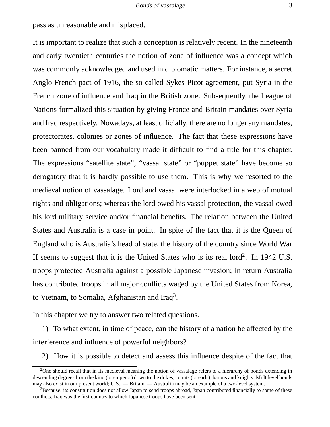pass as unreasonable and misplaced.

It is important to realize that such a conception is relatively recent. In the nineteenth and early twentieth centuries the notion of zone of influence was a concept which was commonly acknowledged and used in diplomatic matters. For instance, a secret Anglo-French pact of 1916, the so-called Sykes-Picot agreement, put Syria in the French zone of influence and Iraq in the British zone. Subsequently, the League of Nations formalized this situation by giving France and Britain mandates over Syria and Iraq respectively. Nowadays, at least officially, there are no longer any mandates, protectorates, colonies or zones of influence. The fact that these expressions have been banned from our vocabulary made it difficult to find a title for this chapter. The expressions "satellite state", "vassal state" or "puppet state" have become so derogatory that it is hardly possible to use them. This is why we resorted to the medieval notion of vassalage. Lord and vassal were interlocked in a web of mutual rights and obligations; whereas the lord owed his vassal protection, the vassal owed his lord military service and/or financial benefits. The relation between the United States and Australia is a case in point. In spite of the fact that it is the Queen of England who is Australia's head of state, the history of the country since World War II seems to suggest that it is the United States who is its real lord<sup>2</sup>. In 1942 U.S. troops protected Australia against a possible Japanese invasion; in return Australia has contributed troops in all major conflicts waged by the United States from Korea, to Vietnam, to Somalia, Afghanistan and Iraq<sup>3</sup>.

In this chapter we try to answer two related questions.

1) To what extent, in time of peace, can the history of a nation be affected by the interference and influence of powerful neighbors?

2) How it is possible to detect and assess this influence despite of the fact that

<sup>&</sup>lt;sup>2</sup>One should recall that in its medieval meaning the notion of vassalage refers to a hierarchy of bonds extending in descending degrees from the king (or emperor) down to the dukes, counts (or earls), barons and knights. Multilevel bonds may also exist in our present world; U.S. — Britain — Australia may be an example of a two-level system.

<sup>3</sup>Because, its constitution does not allow Japan to send troops abroad, Japan contributed financially to some of these conflicts. Iraq was the first country to which Japanese troops have been sent.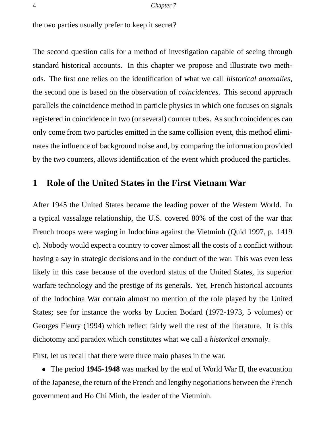the two parties usually prefer to keep it secret?

The second question calls for a method of investigation capable of seeing through standard historical accounts. In this chapter we propose and illustrate two methods. The first one relies on the identification of what we call *historical anomalies*, the second one is based on the observation of *coincidences*. This second approach parallels the coincidence method in particle physics in which one focuses on signals registered in coincidence in two (or several) counter tubes. As such coincidences can only come from two particles emitted in the same collision event, this method eliminates the influence of background noise and, by comparing the information provided by the two counters, allows identification of the event which produced the particles.

## **1 Role of the United States in the First Vietnam War**

After 1945 the United States became the leading power of the Western World. In a typical vassalage relationship, the U.S. covered 80% of the cost of the war that French troops were waging in Indochina against the Vietminh (Quid 1997, p. 1419 c). Nobody would expect a country to cover almost all the costs of a conflict without having a say in strategic decisions and in the conduct of the war. This was even less likely in this case because of the overlord status of the United States, its superior warfare technology and the prestige of its generals. Yet, French historical accounts of the Indochina War contain almost no mention of the role played by the United States; see for instance the works by Lucien Bodard (1972-1973, 5 volumes) or Georges Fleury (1994) which reflect fairly well the rest of the literature. It is this dichotomy and paradox which constitutes what we call a *historical anomaly*.

First, let us recall that there were three main phases in the war.

• The period **1945-1948** was marked by the end of World War II, the evacuation of the Japanese, the return of the French and lengthy negotiations between the French government and Ho Chi Minh, the leader of the Vietminh.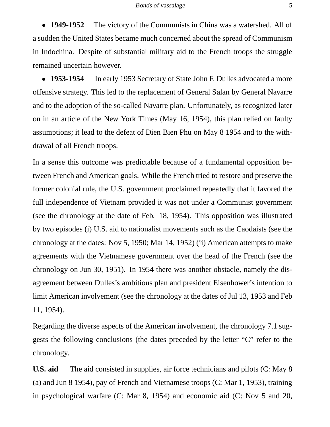• **1949-1952** The victory of the Communists in China was a watershed. All of a sudden the United States became much concerned about the spread of Communism in Indochina. Despite of substantial military aid to the French troops the struggle remained uncertain however.

• **1953-1954** In early 1953 Secretary of State John F. Dulles advocated a more offensive strategy. This led to the replacement of General Salan by General Navarre and to the adoption of the so-called Navarre plan. Unfortunately, as recognized later on in an article of the New York Times (May 16, 1954), this plan relied on faulty assumptions; it lead to the defeat of Dien Bien Phu on May 8 1954 and to the withdrawal of all French troops.

In a sense this outcome was predictable because of a fundamental opposition between French and American goals. While the French tried to restore and preserve the former colonial rule, the U.S. government proclaimed repeatedly that it favored the full independence of Vietnam provided it was not under a Communist government (see the chronology at the date of Feb. 18, 1954). This opposition was illustrated by two episodes (i) U.S. aid to nationalist movements such as the Caodaists (see the chronology at the dates: Nov 5, 1950; Mar 14, 1952) (ii) American attempts to make agreements with the Vietnamese government over the head of the French (see the chronology on Jun 30, 1951). In 1954 there was another obstacle, namely the disagreement between Dulles's ambitious plan and president Eisenhower's intention to limit American involvement (see the chronology at the dates of Jul 13, 1953 and Feb 11, 1954).

Regarding the diverse aspects of the American involvement, the chronology 7.1 suggests the following conclusions (the dates preceded by the letter "C" refer to the chronology.

**U.S. aid** The aid consisted in supplies, air force technicians and pilots (C: May 8 (a) and Jun 8 1954), pay of French and Vietnamese troops (C: Mar 1, 1953), training in psychological warfare (C: Mar 8, 1954) and economic aid (C: Nov 5 and 20,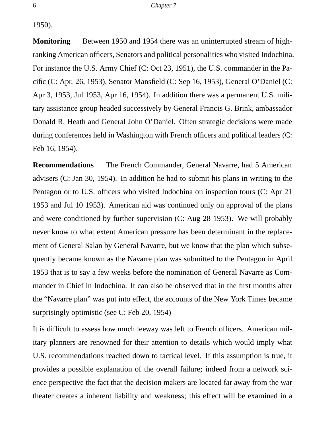1950).

**Monitoring** Between 1950 and 1954 there was an uninterrupted stream of highranking American officers, Senators and political personalities who visited Indochina. For instance the U.S. Army Chief (C: Oct 23, 1951), the U.S. commander in the Pacific (C: Apr. 26, 1953), Senator Mansfield (C: Sep 16, 1953), General O'Daniel (C: Apr 3, 1953, Jul 1953, Apr 16, 1954). In addition there was a permanent U.S. military assistance group headed successively by General Francis G. Brink, ambassador Donald R. Heath and General John O'Daniel. Often strategic decisions were made during conferences held in Washington with French officers and political leaders (C: Feb 16, 1954).

**Recommendations** The French Commander, General Navarre, had 5 American advisers (C: Jan 30, 1954). In addition he had to submit his plans in writing to the Pentagon or to U.S. officers who visited Indochina on inspection tours (C: Apr 21 1953 and Jul 10 1953). American aid was continued only on approval of the plans and were conditioned by further supervision (C: Aug 28 1953). We will probably never know to what extent American pressure has been determinant in the replacement of General Salan by General Navarre, but we know that the plan which subsequently became known as the Navarre plan was submitted to the Pentagon in April 1953 that is to say a few weeks before the nomination of General Navarre as Commander in Chief in Indochina. It can also be observed that in the first months after the "Navarre plan" was put into effect, the accounts of the New York Times became surprisingly optimistic (see C: Feb 20, 1954)

It is difficult to assess how much leeway was left to French officers. American military planners are renowned for their attention to details which would imply what U.S. recommendations reached down to tactical level. If this assumption is true, it provides a possible explanation of the overall failure; indeed from a network science perspective the fact that the decision makers are located far away from the war theater creates a inherent liability and weakness; this effect will be examined in a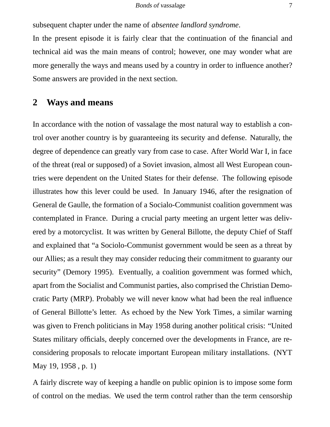subsequent chapter under the name of *absentee landlord syndrome*.

In the present episode it is fairly clear that the continuation of the financial and technical aid was the main means of control; however, one may wonder what are more generally the ways and means used by a country in order to influence another? Some answers are provided in the next section.

## **2 Ways and means**

In accordance with the notion of vassalage the most natural way to establish a control over another country is by guaranteeing its security and defense. Naturally, the degree of dependence can greatly vary from case to case. After World War I, in face of the threat (real or supposed) of a Soviet invasion, almost all West European countries were dependent on the United States for their defense. The following episode illustrates how this lever could be used. In January 1946, after the resignation of General de Gaulle, the formation of a Socialo-Communist coalition government was contemplated in France. During a crucial party meeting an urgent letter was delivered by a motorcyclist. It was written by General Billotte, the deputy Chief of Staff and explained that "a Sociolo-Communist government would be seen as a threat by our Allies; as a result they may consider reducing their commitment to guaranty our security" (Demory 1995). Eventually, a coalition government was formed which, apart from the Socialist and Communist parties, also comprised the Christian Democratic Party (MRP). Probably we will never know what had been the real influence of General Billotte's letter. As echoed by the New York Times, a similar warning was given to French politicians in May 1958 during another political crisis: "United States military officials, deeply concerned over the developments in France, are reconsidering proposals to relocate important European military installations. (NYT May 19, 1958 , p. 1)

A fairly discrete way of keeping a handle on public opinion is to impose some form of control on the medias. We used the term control rather than the term censorship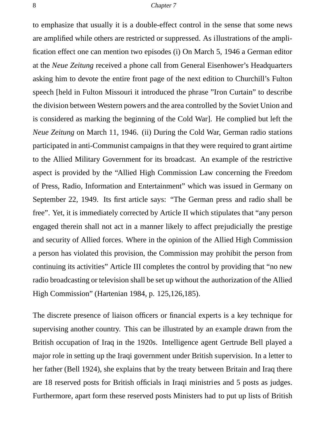to emphasize that usually it is a double-effect control in the sense that some news are amplified while others are restricted or suppressed. As illustrations of the amplification effect one can mention two episodes (i) On March 5, 1946 a German editor at the *Neue Zeitung* received a phone call from General Eisenhower's Headquarters asking him to devote the entire front page of the next edition to Churchill's Fulton speech [held in Fulton Missouri it introduced the phrase "Iron Curtain" to describe the division between Western powers and the area controlled by the Soviet Union and is considered as marking the beginning of the Cold War]. He complied but left the *Neue Zeitung* on March 11, 1946. (ii) During the Cold War, German radio stations participated in anti-Communist campaigns in that they were required to grant airtime to the Allied Military Government for its broadcast. An example of the restrictive aspect is provided by the "Allied High Commission Law concerning the Freedom of Press, Radio, Information and Entertainment" which was issued in Germany on September 22, 1949. Its first article says: "The German press and radio shall be free". Yet, it is immediately corrected by Article II which stipulates that "any person engaged therein shall not act in a manner likely to affect prejudicially the prestige and security of Allied forces. Where in the opinion of the Allied High Commission a person has violated this provision, the Commission may prohibit the person from continuing its activities" Article III completes the control by providing that "no new radio broadcasting or television shall be set up without the authorization of the Allied High Commission" (Hartenian 1984, p. 125,126,185).

The discrete presence of liaison officers or financial experts is a key technique for supervising another country. This can be illustrated by an example drawn from the British occupation of Iraq in the 1920s. Intelligence agent Gertrude Bell played a major role in setting up the Iraqi government under British supervision. In a letter to her father (Bell 1924), she explains that by the treaty between Britain and Iraq there are 18 reserved posts for British officials in Iraqi ministries and 5 posts as judges. Furthermore, apart form these reserved posts Ministers had to put up lists of British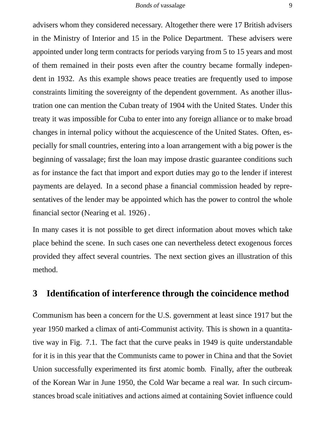advisers whom they considered necessary. Altogether there were 17 British advisers in the Ministry of Interior and 15 in the Police Department. These advisers were appointed under long term contracts for periods varying from 5 to 15 years and most of them remained in their posts even after the country became formally independent in 1932. As this example shows peace treaties are frequently used to impose constraints limiting the sovereignty of the dependent government. As another illustration one can mention the Cuban treaty of 1904 with the United States. Under this treaty it was impossible for Cuba to enter into any foreign alliance or to make broad changes in internal policy without the acquiescence of the United States. Often, especially for small countries, entering into a loan arrangement with a big power is the beginning of vassalage; first the loan may impose drastic guarantee conditions such as for instance the fact that import and export duties may go to the lender if interest payments are delayed. In a second phase a financial commission headed by representatives of the lender may be appointed which has the power to control the whole financial sector (Nearing et al. 1926) .

In many cases it is not possible to get direct information about moves which take place behind the scene. In such cases one can nevertheless detect exogenous forces provided they affect several countries. The next section gives an illustration of this method.

## **3 Identification of interference through the coincidence method**

Communism has been a concern for the U.S. government at least since 1917 but the year 1950 marked a climax of anti-Communist activity. This is shown in a quantitative way in Fig. 7.1. The fact that the curve peaks in 1949 is quite understandable for it is in this year that the Communists came to power in China and that the Soviet Union successfully experimented its first atomic bomb. Finally, after the outbreak of the Korean War in June 1950, the Cold War became a real war. In such circumstances broad scale initiatives and actions aimed at containing Soviet influence could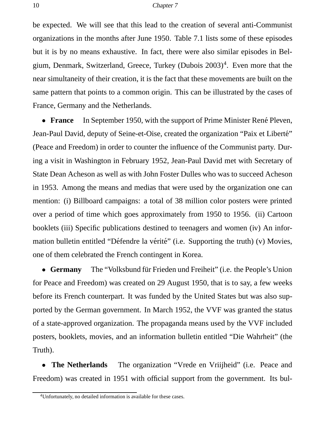be expected. We will see that this lead to the creation of several anti-Communist organizations in the months after June 1950. Table 7.1 lists some of these episodes but it is by no means exhaustive. In fact, there were also similar episodes in Belgium, Denmark, Switzerland, Greece, Turkey (Dubois 2003)<sup>4</sup>. Even more that the near simultaneity of their creation, it is the fact that these movements are built on the same pattern that points to a common origin. This can be illustrated by the cases of France, Germany and the Netherlands.

• **France** In September 1950, with the support of Prime Minister René Pleven, Jean-Paul David, deputy of Seine-et-Oise, created the organization "Paix et Liberte"´ (Peace and Freedom) in order to counter the influence of the Communist party. During a visit in Washington in February 1952, Jean-Paul David met with Secretary of State Dean Acheson as well as with John Foster Dulles who was to succeed Acheson in 1953. Among the means and medias that were used by the organization one can mention: (i) Billboard campaigns: a total of 38 million color posters were printed over a period of time which goes approximately from 1950 to 1956. (ii) Cartoon booklets (iii) Specific publications destined to teenagers and women (iv) An information bulletin entitled "Défendre la vérité" (i.e. Supporting the truth) (v) Movies, one of them celebrated the French contingent in Korea.

• **Germany** The "Volksbund für Frieden und Freiheit" (i.e. the People's Union for Peace and Freedom) was created on 29 August 1950, that is to say, a few weeks before its French counterpart. It was funded by the United States but was also supported by the German government. In March 1952, the VVF was granted the status of a state-approved organization. The propaganda means used by the VVF included posters, booklets, movies, and an information bulletin entitled "Die Wahrheit" (the Truth).

• **The Netherlands** The organization "Vrede en Vriijheid" (i.e. Peace and Freedom) was created in 1951 with official support from the government. Its bul-

<sup>4</sup>Unfortunately, no detailed information is available for these cases.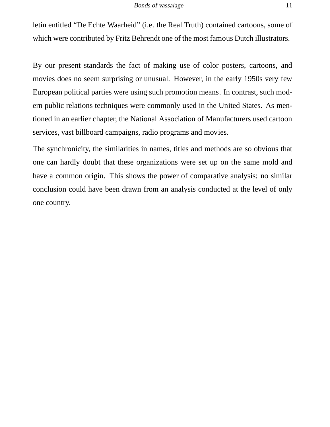letin entitled "De Echte Waarheid" (i.e. the Real Truth) contained cartoons, some of which were contributed by Fritz Behrendt one of the most famous Dutch illustrators.

By our present standards the fact of making use of color posters, cartoons, and movies does no seem surprising or unusual. However, in the early 1950s very few European political parties were using such promotion means. In contrast, such modern public relations techniques were commonly used in the United States. As mentioned in an earlier chapter, the National Association of Manufacturers used cartoon services, vast billboard campaigns, radio programs and movies.

The synchronicity, the similarities in names, titles and methods are so obvious that one can hardly doubt that these organizations were set up on the same mold and have a common origin. This shows the power of comparative analysis; no similar conclusion could have been drawn from an analysis conducted at the level of only one country.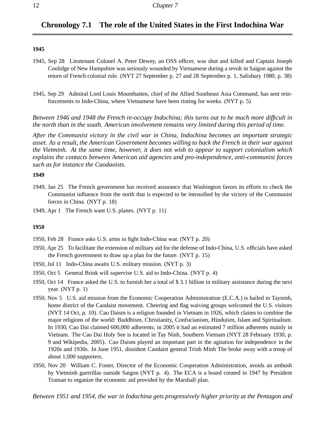### **Chronology 7.1 The role of the United States in the First Indochina War**

#### **1945**

- 1945, Sep 28 Lieutenant Colonel A. Peter Dewey, an OSS officer, was shot and killed and Captain Joseph Coolidge of New Hampshire was seriously wounded by Vietnamese during a revolt in Saigon against the return of French colonial rule. (NYT 27 September p. 27 and 28 September p. 1, Salisbury 1980, p. 38)
- 1945, Sep 29 Admiral Lord Louis Mountbatten, chief of the Allied Southeast Asia Command, has sent reinforcements to Indo-China, where Vietnamese have been rioting for weeks. (NYT p. 5)

*Between 1946 and 1948 the French re-occupy Indochina; this turns out to be much more difficult in the north than in the south. American involvement remains very limited during this period of time.*

*After the Communist victory in the civil war in China, Indochina becomes an important strategic asset. As a result, the American Government becomes willing to back the French in their war against the Vietminh. At the same time, however, it does not wish to appear to support colonialism which explains the contacts between American aid agencies and pro-independence, anti-communist forces such as for instance the Caodaoists.*

#### **1949**

- 1949, Jan 25 The French government has received assurance that Washington favors its efforts to check the Communist influence from the north that is expected to be intensified by the victory of the Communist forces in China. (NYT p. 18)
- 1949, Apr 1 The French want U.S. planes. (NYT p. 11)

#### **1950**

- 1950, Feb 28 France asks U.S. arms to fight Indo-China war. (NYT p. 20)
- 1950, Apr 25 To facilitate the extension of military aid for the defense of Indo-China, U.S. officials have asked the French government to draw up a plan for the future. (NYT p. 15)
- 1950, Jul 11 Indo-China awaits U.S. military mission. (NYT p. 3)
- 1950, Oct 5 General Brink will supervise U.S. aid to Indo-China. (NYT p. 4)
- 1950, Oct 14 France asked the U.S. to furnish her a total of \$ 3.1 billion in military assistance during the next year. (NYT p. 1)
- 1950, Nov 5 U.S. aid mission from the Economic Cooperation Administration (E.C.A.) is hailed in Tayninh, home district of the Caodaist movement. Cheering and flag waiving groups welcomed the U.S. visitors (NYT 14 Oct, p. 10). Cao Daism is a religion founded in Vietnam in 1926, which claims to combine the major religions of the world: Buddhism, Christianity, Confucianism, Hinduism, Islam and Spiritualism. In 1930, Cao Dai claimed 600,000 adherents; in 2005 it had an estimated 7 million adherents mainly in Vietnam. The Cao Dai Holy See is located in Tay Ninh, Southern Vietnam (NYT 28 February 1930, p. 9 and Wikipedia, 2005). Cao Daism played an important part in the agitation for independence in the 1920s and 1930s. In June 1951, dissident Caodaist general Trinh Minh The broke away with a troop of about 1,000 supporters.
- 1950, Nov 20 William C. Foster, Director of the Economic Cooperation Administration, avoids an ambush by Vietminh guerrillas outside Saigon (NYT p. 4). The ECA is a board created in 1947 by President Truman to organize the economic aid provided by the Marshall plan.
- *Between 1951 and 1954, the war in Indochina gets progressively higher priority at the Pentagon and*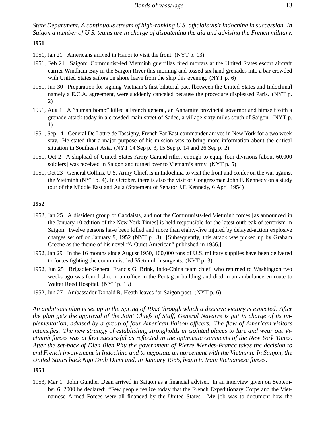*State Department. A continuous stream of high-ranking U.S. officials visit Indochina in succession. In Saigon a number of U.S. teams are in charge of dispatching the aid and advising the French military.*

**1951**

- 1951, Jan 21 Americans arrived in Hanoi to visit the front. (NYT p. 13)
- 1951, Feb 21 Saigon: Communist-led Vietminh guerrillas fired mortars at the United States escort aircraft carrier Windham Bay in the Saigon River this morning and tossed six hand grenades into a bar crowded with United States sailors on shore leave from the ship this evening. (NYT p. 6)
- 1951, Jun 30 Preparation for signing Vietnam's first bilateral pact [between the United States and Indochina] namely a E.C.A. agreement, were suddenly canceled because the procedure displeased Paris. (NYT p. 2)
- 1951, Aug 1 A "human bomb" killed a French general, an Annamite provincial governor and himself with a grenade attack today in a crowded main street of Sadec, a village sixty miles south of Saigon. (NYT p. 1)
- 1951, Sep 14 General De Lattre de Tassigny, French Far East commander arrives in New York for a two week stay. He stated that a major purpose of his mission was to bring more information about the critical situation in Southeast Asia. (NYT 14 Sep p. 3, 15 Sep p. 14 and 26 Sep p. 2)
- 1951, Oct 2 A shipload of United States Army Garand rifles, enough to equip four divisions [about 60,000 soldiers] was received in Saigon and turned over to Vietnam's army. (NYT p. 5)
- 1951, Oct 23 General Collins, U.S. Army Chief, is in Indochina to visit the front and confer on the war against the Vietminh (NYT p. 4). In October, there is also the visit of Congressman John F. Kennedy on a study tour of the Middle East and Asia (Statement of Senator J.F. Kennedy, 6 April 1954)

#### **1952**

- 1952, Jan 25 A dissident group of Caodaists, and not the Communists-led Vietminh forces [as announced in the January 10 edition of the New York Times] is held responsible for the latest outbreak of terrorism in Saigon. Twelve persons have been killed and more than eighty-five injured by delayed-action explosive charges set off on January 9, 1952 (NYT p. 3). [Subsequently, this attack was picked up by Graham Greene as the theme of his novel "A Quiet American" published in 1956.]
- 1952, Jan 29 In the 16 months since August 1950, 100,000 tons of U.S. military supplies have been delivered to forces fighting the communist-led Vietminh insurgents. (NYT p. 3)
- 1952, Jun 25 Brigadier-General Francis G. Brink, Indo-China team chief, who returned to Washington two weeks ago was found shot in an office in the Pentagon building and died in an ambulance en route to Walter Reed Hospital. (NYT p. 15)
- 1952, Jun 27 Ambassador Donald R. Heath leaves for Saigon post. (NYT p. 6)

*An ambitious plan is set up in the Spring of 1953 through which a decisive victory is expected. After the plan gets the approval of the Joint Chiefs of Staff, General Navarre is put in charge of its implementation, advised by a group of four American liaison officers. The flow of American visitors intensifies. The new strategy of establishing strongholds in isolated places to lure and wear out Vietminh forces was at first successful as reflected in the optimistic comments of the New York Times. After the set-back of Dien Bien Phu the government of Pierre Mendes-France takes the decision to ` end French involvement in Indochina and to negotiate an agreement with the Vietminh. In Saigon, the United States back Ngo Dinh Diem and, in January 1955, begin to train Vietnamese forces.*

#### **1953**

1953, Mar 1 John Gunther Dean arrived in Saigon as a financial adviser. In an interview given on September 6, 2000 he declared: "Few people realize today that the French Expeditionary Corps and the Vietnamese Armed Forces were all financed by the United States. My job was to document how the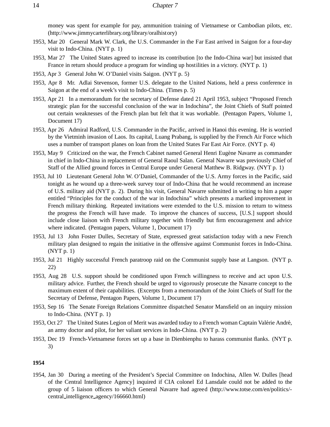money was spent for example for pay, ammunition training of Vietnamese or Cambodian pilots, etc. (http://www.jimmycarterlibrary.org/library/oralhistory)

- 1953, Mar 20 General Mark W. Clark, the U.S. Commander in the Far East arrived in Saigon for a four-day visit to Indo-China. (NYT p. 1)
- 1953, Mar 27 The United States agreed to increase its contribution [to the Indo-China war] but insisted that France in return should produce a program for winding up hostilities in a victory. (NYT p. 1)
- 1953, Apr 3 General John W. O'Daniel visits Saigon. (NYT p. 5)
- 1953, Apr 8 Mr. Adlai Stevenson, former U.S. delegate to the United Nations, held a press conference in Saigon at the end of a week's visit to Indo-China. (Times p. 5)
- 1953, Apr 21 In a memorandum for the secretary of Defense dated 21 April 1953, subject "Proposed French strategic plan for the successful conclusion of the war in Indochina", the Joint Chiefs of Staff pointed out certain weaknesses of the French plan but felt that it was workable. (Pentagon Papers, Volume 1, Document 17)
- 1953, Apr 26 Admiral Radford, U.S. Commander in the Pacific, arrived in Hanoi this evening. He is worried by the Vietminh invasion of Laos. Its capital, Luang Prabang, is supplied by the French Air Force which uses a number of transport planes on loan from the United States Far East Air Force. (NYT p. 4)
- 1953, May 9 Criticized on the war, the French Cabinet named General Henri Eugène Navarre as commander in chief in Indo-China in replacement of General Raoul Salan. General Navarre was previously Chief of Staff of the Allied ground forces in Central Europe under General Matthew B. Ridgway. (NYT p. 1)
- 1953, Jul 10 Lieutenant General John W. O'Daniel, Commander of the U.S. Army forces in the Pacific, said tonight as he wound up a three-week survey tour of Indo-China that he would recommend an increase of U.S. military aid (NYT p. 2). During his visit, General Navarre submitted in writing to him a paper entitled "Principles for the conduct of the war in Indochina" which presents a marked improvement in French military thinking. Repeated invitations were extended to the U.S. mission to return to witness the progress the French will have made. To improve the chances of success, [U.S.] support should include close liaison with French military together with friendly but firm encouragement and advice where indicated. (Pentagon papers, Volume 1, Document 17)
- 1953, Jul 13 John Foster Dulles, Secretary of State, expressed great satisfaction today with a new French military plan designed to regain the initiative in the offensive against Communist forces in Indo-China. (NYT p. 1)
- 1953, Jul 21 Highly successful French paratroop raid on the Communist supply base at Langson. (NYT p. 22)
- 1953, Aug 28 U.S. support should be conditioned upon French willingness to receive and act upon U.S. military advice. Further, the French should be urged to vigorously prosecute the Navarre concept to the maximum extent of their capabilities. (Excerpts from a memorandum of the Joint Chiefs of Staff for the Secretary of Defense, Pentagon Papers, Volume 1, Document 17)
- 1953, Sep 16 The Senate Foreign Relations Committee dispatched Senator Mansfield on an inquiry mission to Indo-China. (NYT p. 1)
- 1953, Oct 27 The United States Legion of Merit was awarded today to a French woman Captain Valérie André, an army doctor and pilot, for her valiant services in Indo-China. (NYT p. 2)
- 1953, Dec 19 French-Vietnamese forces set up a base in Dienbienphu to harass communist flanks. (NYT p. 3)

#### **1954**

1954, Jan 30 During a meeting of the President's Special Committee on Indochina, Allen W. Dulles [head of the Central Intelligence Agency] inquired if CIA colonel Ed Lansdale could not be added to the group of 5 liaison officers to which General Navarre had agreed (http://www.totse.com/en/politics/ central intelligence agency/166660.html)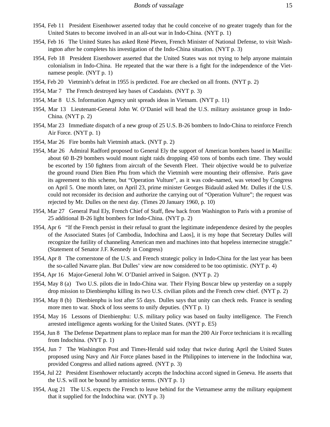- 1954, Feb 11 President Eisenhower asserted today that he could conceive of no greater tragedy than for the United States to become involved in an all-out war in Indo-China. (NYT p. 1)
- 1954, Feb 16 The United States has asked René Pleven, French Minister of National Defense, to visit Washington after he completes his investigation of the Indo-China situation. (NYT p. 3)
- 1954, Feb 18 President Eisenhower asserted that the United States was not trying to help anyone maintain colonialism in Indo-China. He repeated that the war there is a fight for the independence of the Vietnamese people. (NYT p. 1)
- 1954, Feb 20 Vietminh's defeat in 1955 is predicted. Foe are checked on all fronts. (NYT p. 2)
- 1954, Mar 7 The French destroyed key bases of Caodaists. (NYT p. 3)
- 1954, Mar 8 U.S. Information Agency unit spreads ideas in Vietnam. (NYT p. 11)
- 1954, Mar 13 Lieutenant-General John W. O'Daniel will head the U.S. military assistance group in Indo-China. (NYT p. 2)
- 1954, Mar 23 Immediate dispatch of a new group of 25 U.S. B-26 bombers to Indo-China to reinforce French Air Force. (NYT p. 1)
- 1954, Mar 26 Fire bombs halt Vietminh attack. (NYT p. 2)
- 1954, Mar 26 Admiral Radford proposed to General Ely the support of American bombers based in Manilla: about 60 B-29 bombers would mount night raids dropping 450 tons of bombs each time. They would be escorted by 150 fighters from aircraft of the Seventh Fleet. Their objective would be to pulverize the ground round Dien Bien Phu from which the Vietminh were mounting their offensive. Paris gave its agreement to this scheme, but "Operation Vulture", as it was code-named, was vetoed by Congress on April 5. One month later, on April 23, prime minister Georges Bidauld asked Mr. Dulles if the U.S. could not reconsider its decision and authorize the carrying out of "Operation Vulture"; the request was rejected by Mr. Dulles on the next day. (Times 20 January 1960, p. 10)
- 1954, Mar 27 General Paul Ely, French Chief of Staff, flew back from Washington to Paris with a promise of 25 additional B-26 light bombers for Indo-China. (NYT p. 2)
- 1954, Apr 6 "If the French persist in their refusal to grant the legitimate independence desired by the peoples of the Associated States [of Cambodia, Indochina and Laos], it is my hope that Secretary Dulles will recognize the futility of channeling American men and machines into that hopeless internecine struggle." (Statement of Senator J.F. Kennedy in Congress)
- 1954, Apr 8 The cornerstone of the U.S. and French strategic policy in Indo-China for the last year has been the so-called Navarre plan. But Dulles' view are now considered to be too optimistic. (NYT p. 4)
- 1954, Apr 16 Major-General John W. O'Daniel arrived in Saigon. (NYT p. 2)
- 1954, May 8 (a) Two U.S. pilots die in Indo-China war. Their Flying Boxcar blew up yesterday on a supply drop mission to Dienbienphu killing its two U.S. civilian pilots and the French crew chief. (NYT p. 2)
- 1954, May 8 (b) Dienbienphu is lost after 55 days. Dulles says that unity can check reds. France is sending more men to war. Shock of loss seems to unify deputies. (NYT p. 1)
- 1954, May 16 Lessons of Dienbienphu: U.S. military policy was based on faulty intelligence. The French arrested intelligence agents working for the United States. (NYT p. E5)
- 1954, Jun 8 The Defense Department plans to replace man for man the 200 Air Force technicians it is recalling from Indochina. (NYT p. 1)
- 1954, Jun 7 The Washington Post and Times-Herald said today that twice during April the United States proposed using Navy and Air Force planes based in the Philippines to intervene in the Indochina war, provided Congress and allied nations agreed. (NYT p. 3)
- 1954, Jul 22 President Eisenhower reluctantly accepts the Indochina accord signed in Geneva. He asserts that the U.S. will not be bound by armistice terms. (NYT p. 1)
- 1954, Aug 21 The U.S. expects the French to leave behind for the Vietnamese army the military equipment that it supplied for the Indochina war. (NYT p. 3)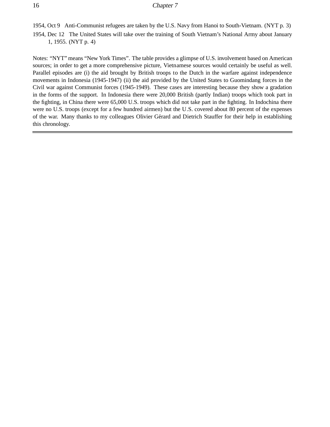1954, Oct 9 Anti-Communist refugees are taken by the U.S. Navy from Hanoi to South-Vietnam. (NYT p. 3) 1954, Dec 12 The United States will take over the training of South Vietnam's National Army about January 1, 1955. (NYT p. 4)

Notes: "NYT" means "New York Times". The table provides a glimpse of U.S. involvement based on American sources; in order to get a more comprehensive picture, Vietnamese sources would certainly be useful as well. Parallel episodes are (i) the aid brought by British troops to the Dutch in the warfare against independence movements in Indonesia (1945-1947) (ii) the aid provided by the United States to Guomindang forces in the Civil war against Communist forces (1945-1949). These cases are interesting because they show a gradation in the forms of the support. In Indonesia there were 20,000 British (partly Indian) troops which took part in the fighting, in China there were 65,000 U.S. troops which did not take part in the fighting. In Indochina there were no U.S. troops (except for a few hundred airmen) but the U.S. covered about 80 percent of the expenses of the war. Many thanks to my colleagues Olivier Gérard and Dietrich Stauffer for their help in establishing this chronology.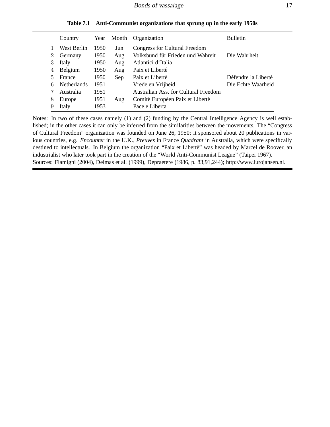|                | Country            | Year | Month | Organization                         | <b>Bulletin</b>     |
|----------------|--------------------|------|-------|--------------------------------------|---------------------|
|                | West Berlin        | 1950 | Jun   | Congress for Cultural Freedom        |                     |
| $\overline{2}$ | Germany            | 1950 | Aug   | Volksbund für Frieden und Wahreit    | Die Wahrheit        |
|                | Italy              | 1950 | Aug   | Atlantici d'Italia                   |                     |
| 4              | Belgium            | 1950 | Aug   | Paix et Liberté                      |                     |
| 5              | France             | 1950 | Sep   | Paix et Liberté                      | Défendre la Liberté |
| 6              | <b>Netherlands</b> | 1951 |       | Vrede en Vrijheid                    | Die Echte Waarheid  |
|                | Australia          | 1951 |       | Australian Ass. for Cultural Freedom |                     |
| 8              | Europe             | 1951 | Aug   | Comité Européen Paix et Liberté      |                     |
|                | Italy              | 1953 |       | Pace e Liberta                       |                     |

**Table 7.1 Anti-Communist organizations that sprung up in the early 1950s**

Notes: In two of these cases namely (1) and (2) funding by the Central Intelligence Agency is well established; in the other cases it can only be inferred from the similarities between the movements. The "Congress of Cultural Freedom" organization was founded on June 26, 1950; it sponsored about 20 publications in various countries, e.g. *Encounter* in the U.K., *Preuves* in France *Quadrant* in Australia, which were specifically destined to intellectuals. In Belgium the organization "Paix et Liberté" was headed by Marcel de Roover, an industrialist who later took part in the creation of the "World Anti-Communist League" (Taipei 1967). Sources: Flamigni (2004), Delmas et al. (1999), Depraetere (1986, p. 83,91,244); http://www.lurojansen.nl.